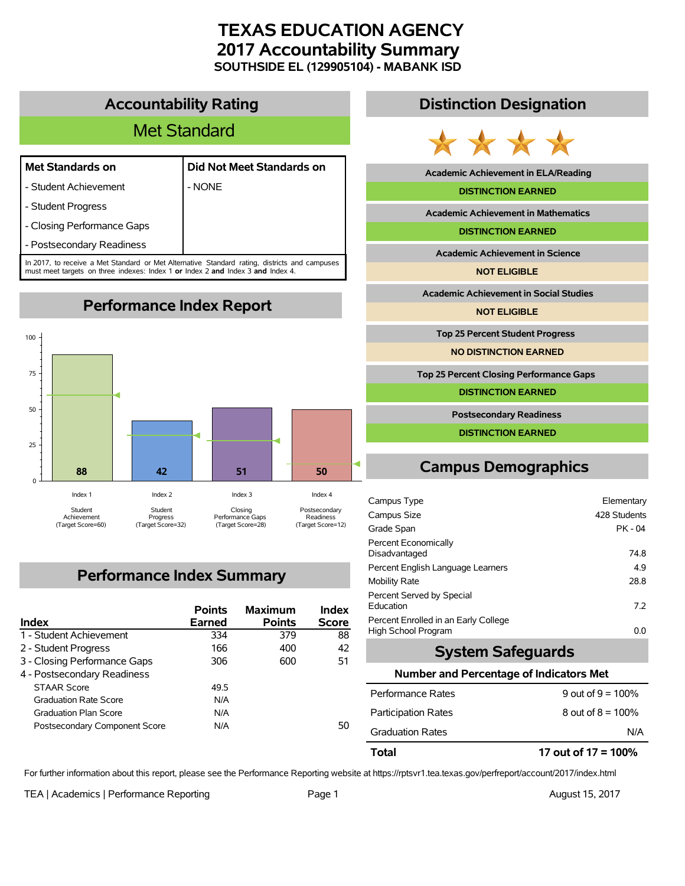# **TEXAS EDUCATION AGENCY 2017 Accountability Summary SOUTHSIDE EL (129905104) - MABANK ISD**

## **Accountability Rating**

# Met Standard

### **Met Standards on Did Not Meet Standards on**

- Student Achievement | NONE

- Student Progress

- Closing Performance Gaps

- Postsecondary Readiness

In 2017, to receive a Met Standard or Met Alternative Standard rating, districts and campuses must meet targets on three indexes: Index 1 **or** Index 2 **and** Index 3 **and** Index 4.

**Performance Index Report**



# **Performance Index Summary**

| <b>Index</b>                  | <b>Points</b><br><b>Earned</b> | <b>Maximum</b><br><b>Points</b> | Index<br><b>Score</b> |
|-------------------------------|--------------------------------|---------------------------------|-----------------------|
| 1 - Student Achievement       | 334                            | 379                             | 88                    |
| 2 - Student Progress          | 166                            | 400                             | 42                    |
| 3 - Closing Performance Gaps  | 306                            | 600                             | 51                    |
| 4 - Postsecondary Readiness   |                                |                                 |                       |
| <b>STAAR Score</b>            | 49.5                           |                                 |                       |
| <b>Graduation Rate Score</b>  | N/A                            |                                 |                       |
| <b>Graduation Plan Score</b>  | N/A                            |                                 |                       |
| Postsecondary Component Score | N/A                            |                                 | 50                    |

## **Distinction Designation**



**Academic Achievement in ELA/Reading**

#### **DISTINCTION EARNED**

**Academic Achievement in Mathematics**

**DISTINCTION EARNED**

**Academic Achievement in Science**

**NOT ELIGIBLE**

**Academic Achievement in Social Studies**

**NOT ELIGIBLE**

**Top 25 Percent Student Progress**

**NO DISTINCTION EARNED**

**Top 25 Percent Closing Performance Gaps**

**DISTINCTION EARNED**

**Postsecondary Readiness**

**DISTINCTION EARNED**

# **Campus Demographics**

| Campus Type                                                 | Elementary   |
|-------------------------------------------------------------|--------------|
| Campus Size                                                 | 428 Students |
| Grade Span                                                  | PK - 04      |
| Percent Economically<br>Disadvantaged                       | 74.8         |
| Percent English Language Learners                           | 4.9          |
| Mobility Rate                                               | 28.8         |
| Percent Served by Special<br>Education                      | 72           |
| Percent Enrolled in an Early College<br>High School Program | 0.0          |

## **System Safeguards**

#### **Number and Percentage of Indicators Met**

| Total                      | 17 out of 17 = 100%  |
|----------------------------|----------------------|
| <b>Graduation Rates</b>    | N/A                  |
| <b>Participation Rates</b> | 8 out of $8 = 100\%$ |
| Performance Rates          | 9 out of $9 = 100\%$ |

For further information about this report, please see the Performance Reporting website at https://rptsvr1.tea.texas.gov/perfreport/account/2017/index.html

TEA | Academics | Performance Reporting Page 1 August 15, 2017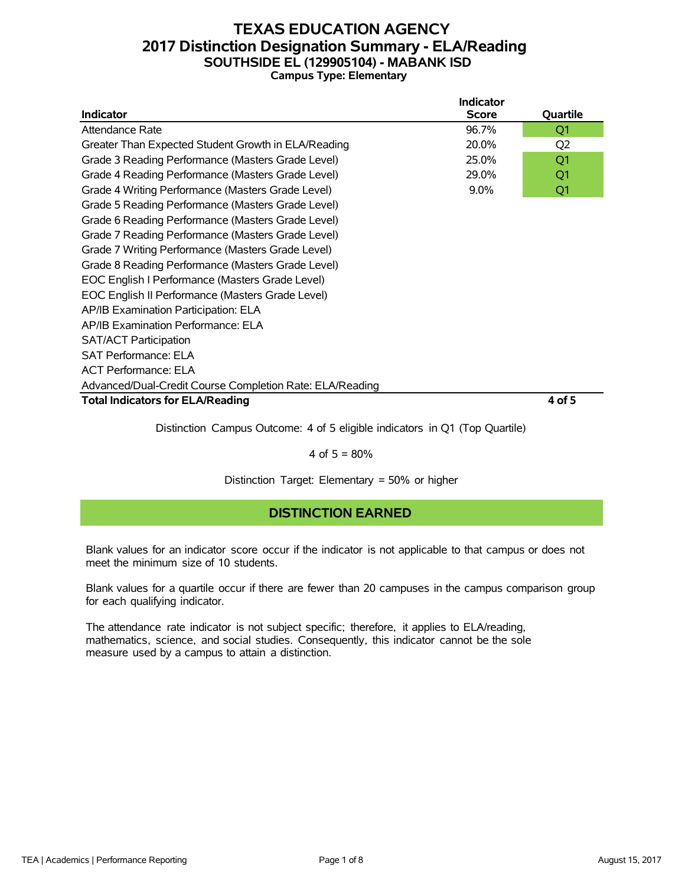## **TEXAS EDUCATION AGENCY 2017 Distinction Designation Summary - ELA/Reading SOUTHSIDE EL (129905104) - MABANK ISD Campus Type: Elementary**

|                                                            | <b>Indicator</b> |          |  |  |  |  |  |  |
|------------------------------------------------------------|------------------|----------|--|--|--|--|--|--|
| <b>Indicator</b>                                           | <b>Score</b>     | Quartile |  |  |  |  |  |  |
| Attendance Rate                                            | 96.7%            | Q1       |  |  |  |  |  |  |
| Greater Than Expected Student Growth in ELA/Reading        | 20.0%            | Q2       |  |  |  |  |  |  |
| Grade 3 Reading Performance (Masters Grade Level)          | 25.0%            | Q1       |  |  |  |  |  |  |
| Grade 4 Reading Performance (Masters Grade Level)<br>29.0% |                  |          |  |  |  |  |  |  |
| Grade 4 Writing Performance (Masters Grade Level)          | Q1               |          |  |  |  |  |  |  |
| Grade 5 Reading Performance (Masters Grade Level)          |                  |          |  |  |  |  |  |  |
| Grade 6 Reading Performance (Masters Grade Level)          |                  |          |  |  |  |  |  |  |
| Grade 7 Reading Performance (Masters Grade Level)          |                  |          |  |  |  |  |  |  |
| Grade 7 Writing Performance (Masters Grade Level)          |                  |          |  |  |  |  |  |  |
| Grade 8 Reading Performance (Masters Grade Level)          |                  |          |  |  |  |  |  |  |
| EOC English I Performance (Masters Grade Level)            |                  |          |  |  |  |  |  |  |
| EOC English II Performance (Masters Grade Level)           |                  |          |  |  |  |  |  |  |
| AP/IB Examination Participation: ELA                       |                  |          |  |  |  |  |  |  |
| AP/IB Examination Performance: ELA                         |                  |          |  |  |  |  |  |  |
| <b>SAT/ACT Participation</b>                               |                  |          |  |  |  |  |  |  |
| <b>SAT Performance: ELA</b>                                |                  |          |  |  |  |  |  |  |
| <b>ACT Performance: ELA</b>                                |                  |          |  |  |  |  |  |  |
| Advanced/Dual-Credit Course Completion Rate: ELA/Reading   |                  |          |  |  |  |  |  |  |
| <b>Total Indicators for ELA/Reading</b>                    |                  | 4 of 5   |  |  |  |  |  |  |

Distinction Campus Outcome: 4 of 5 eligible indicators in Q1 (Top Quartile)

#### 4 of  $5 = 80%$

Distinction Target: Elementary = 50% or higher

### **DISTINCTION EARNED**

Blank values for an indicator score occur if the indicator is not applicable to that campus or does not meet the minimum size of 10 students.

Blank values for a quartile occur if there are fewer than 20 campuses in the campus comparison group for each qualifying indicator.

The attendance rate indicator is not subject specific; therefore, it applies to ELA/reading, mathematics, science, and social studies. Consequently, this indicator cannot be the sole measure used by a campus to attain a distinction.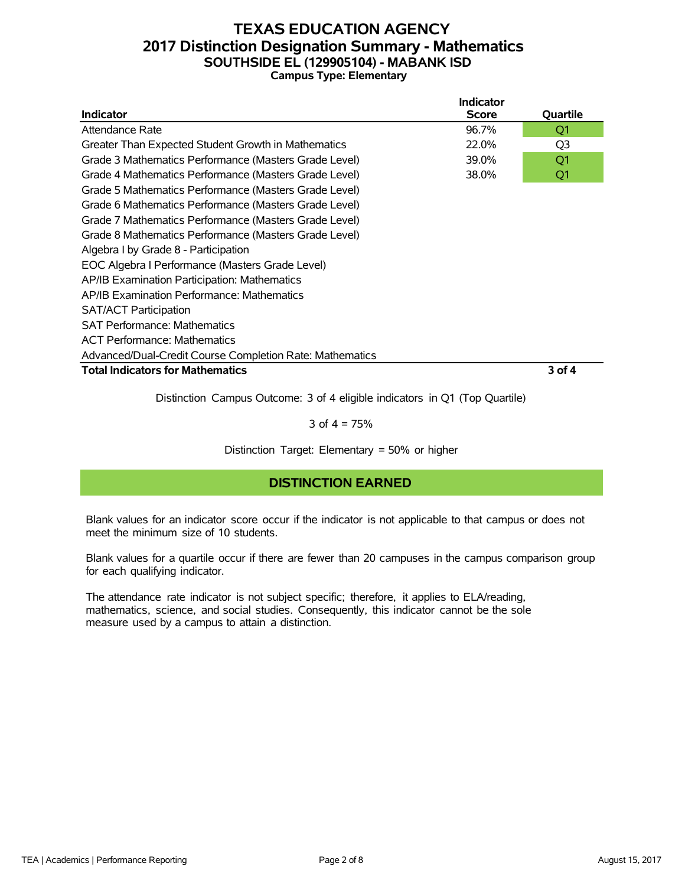## **TEXAS EDUCATION AGENCY 2017 Distinction Designation Summary - Mathematics SOUTHSIDE EL (129905104) - MABANK ISD Campus Type: Elementary**

|                                                          | <b>Indicator</b> |                |
|----------------------------------------------------------|------------------|----------------|
| <b>Indicator</b>                                         | <b>Score</b>     | Quartile       |
| Attendance Rate                                          | 96.7%            | Q1             |
| Greater Than Expected Student Growth in Mathematics      | 22.0%            | Q <sub>3</sub> |
| Grade 3 Mathematics Performance (Masters Grade Level)    | 39.0%            | Q1             |
| Grade 4 Mathematics Performance (Masters Grade Level)    | 38.0%            | Q1             |
| Grade 5 Mathematics Performance (Masters Grade Level)    |                  |                |
| Grade 6 Mathematics Performance (Masters Grade Level)    |                  |                |
| Grade 7 Mathematics Performance (Masters Grade Level)    |                  |                |
| Grade 8 Mathematics Performance (Masters Grade Level)    |                  |                |
| Algebra I by Grade 8 - Participation                     |                  |                |
| EOC Algebra I Performance (Masters Grade Level)          |                  |                |
| AP/IB Examination Participation: Mathematics             |                  |                |
| AP/IB Examination Performance: Mathematics               |                  |                |
| <b>SAT/ACT Participation</b>                             |                  |                |
| <b>SAT Performance: Mathematics</b>                      |                  |                |
| <b>ACT Performance: Mathematics</b>                      |                  |                |
| Advanced/Dual-Credit Course Completion Rate: Mathematics |                  |                |
| <b>Total Indicators for Mathematics</b>                  |                  | 3 of 4         |
|                                                          |                  |                |

Distinction Campus Outcome: 3 of 4 eligible indicators in Q1 (Top Quartile)

3 of  $4 = 75%$ 

Distinction Target: Elementary = 50% or higher

### **DISTINCTION EARNED**

Blank values for an indicator score occur if the indicator is not applicable to that campus or does not meet the minimum size of 10 students.

Blank values for a quartile occur if there are fewer than 20 campuses in the campus comparison group for each qualifying indicator.

The attendance rate indicator is not subject specific; therefore, it applies to ELA/reading, mathematics, science, and social studies. Consequently, this indicator cannot be the sole measure used by a campus to attain a distinction.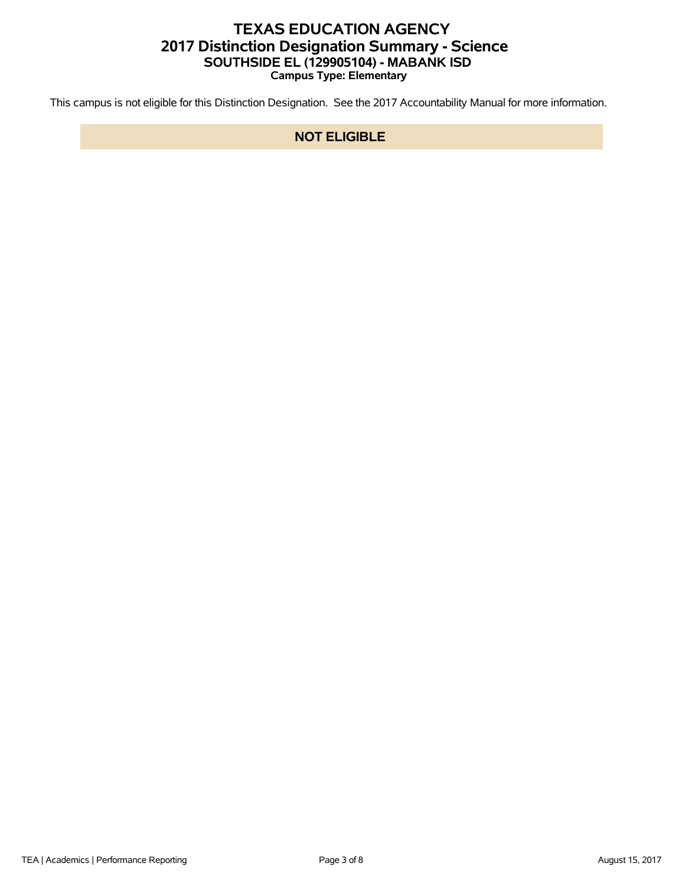## **TEXAS EDUCATION AGENCY 2017 Distinction Designation Summary - Science SOUTHSIDE EL (129905104) - MABANK ISD Campus Type: Elementary**

This campus is not eligible for this Distinction Designation. See the 2017 Accountability Manual for more information.

### **NOT ELIGIBLE**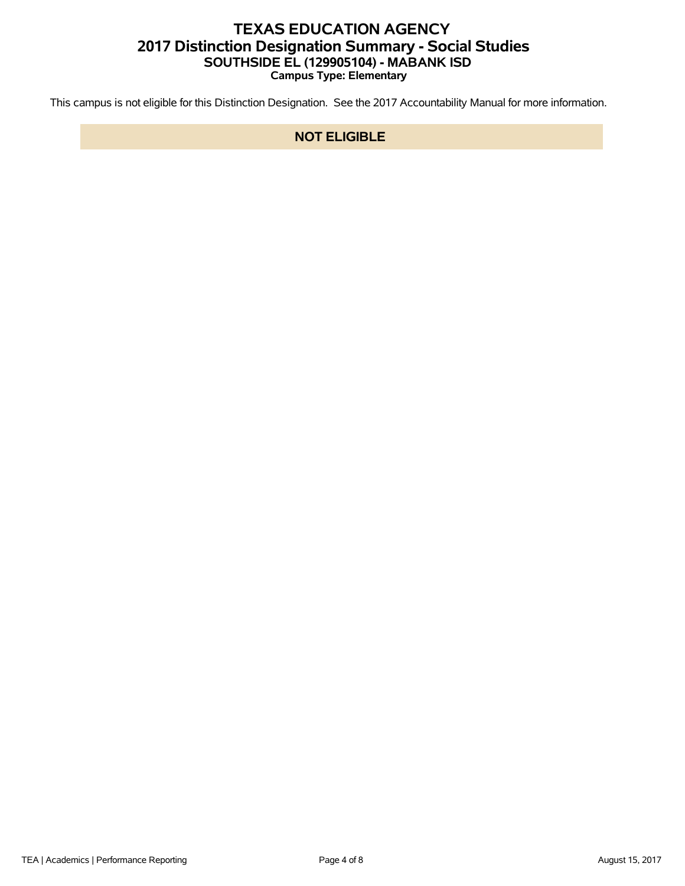## **TEXAS EDUCATION AGENCY 2017 Distinction Designation Summary - Social Studies SOUTHSIDE EL (129905104) - MABANK ISD Campus Type: Elementary**

This campus is not eligible for this Distinction Designation. See the 2017 Accountability Manual for more information.

### **NOT ELIGIBLE**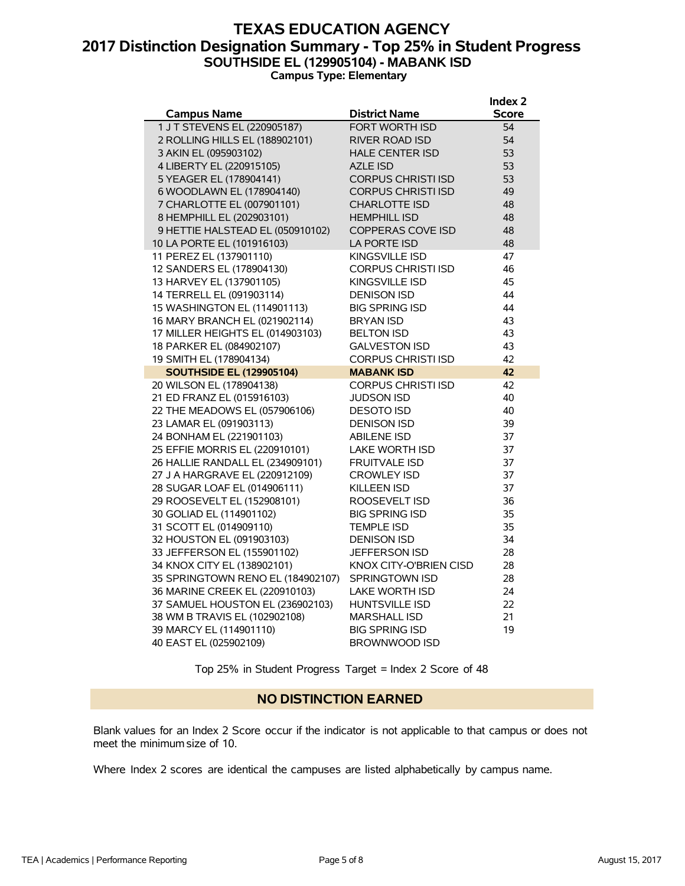## **TEXAS EDUCATION AGENCY 2017 Distinction Designation Summary - Top 25% in Student Progress SOUTHSIDE EL (129905104) - MABANK ISD Campus Type: Elementary**

|                                   |                           | Index <sub>2</sub> |
|-----------------------------------|---------------------------|--------------------|
| <b>Campus Name</b>                | <b>District Name</b>      | Score              |
| 1 J T STEVENS EL (220905187)      | FORT WORTH ISD            | 54                 |
| 2 ROLLING HILLS EL (188902101)    | <b>RIVER ROAD ISD</b>     | 54                 |
| 3 AKIN EL (095903102)             | <b>HALE CENTER ISD</b>    | 53                 |
| 4 LIBERTY EL (220915105)          | <b>AZLE ISD</b>           | 53                 |
| 5 YEAGER EL (178904141)           | <b>CORPUS CHRISTI ISD</b> | 53                 |
| 6 WOODLAWN EL (178904140)         | <b>CORPUS CHRISTI ISD</b> | 49                 |
| 7 CHARLOTTE EL (007901101)        | <b>CHARLOTTE ISD</b>      | 48                 |
| 8 HEMPHILL EL (202903101)         | <b>HEMPHILL ISD</b>       | 48                 |
| 9 HETTIE HALSTEAD EL (050910102)  | <b>COPPERAS COVE ISD</b>  | 48                 |
| 10 LA PORTE EL (101916103)        | LA PORTE ISD              | 48                 |
| 11 PEREZ EL (137901110)           | KINGSVILLE ISD            | 47                 |
| 12 SANDERS EL (178904130)         | <b>CORPUS CHRISTI ISD</b> | 46                 |
| 13 HARVEY EL (137901105)          | KINGSVILLE ISD            | 45                 |
| 14 TERRELL EL (091903114)         | <b>DENISON ISD</b>        | 44                 |
| 15 WASHINGTON EL (114901113)      | <b>BIG SPRING ISD</b>     | 44                 |
| 16 MARY BRANCH EL (021902114)     | <b>BRYAN ISD</b>          | 43                 |
| 17 MILLER HEIGHTS EL (014903103)  | <b>BELTON ISD</b>         | 43                 |
| 18 PARKER EL (084902107)          | <b>GALVESTON ISD</b>      | 43                 |
| 19 SMITH EL (178904134)           | <b>CORPUS CHRISTI ISD</b> | 42                 |
| <b>SOUTHSIDE EL (129905104)</b>   | <b>MABANK ISD</b>         | 42                 |
| 20 WILSON EL (178904138)          | <b>CORPUS CHRISTI ISD</b> | 42                 |
| 21 ED FRANZ EL (015916103)        | <b>JUDSON ISD</b>         | 40                 |
| 22 THE MEADOWS EL (057906106)     | <b>DESOTO ISD</b>         | 40                 |
| 23 LAMAR EL (091903113)           | <b>DENISON ISD</b>        | 39                 |
| 24 BONHAM EL (221901103)          | <b>ABILENE ISD</b>        | 37                 |
| 25 EFFIE MORRIS EL (220910101)    | <b>LAKE WORTH ISD</b>     | 37                 |
| 26 HALLIE RANDALL EL (234909101)  | <b>FRUITVALE ISD</b>      | 37                 |
| 27 J A HARGRAVE EL (220912109)    | <b>CROWLEY ISD</b>        | 37                 |
| 28 SUGAR LOAF EL (014906111)      | <b>KILLEEN ISD</b>        | 37                 |
| 29 ROOSEVELT EL (152908101)       | ROOSEVELT ISD             | 36                 |
| 30 GOLIAD EL (114901102)          | <b>BIG SPRING ISD</b>     | 35                 |
| 31 SCOTT EL (014909110)           | <b>TEMPLE ISD</b>         | 35                 |
| 32 HOUSTON EL (091903103)         | <b>DENISON ISD</b>        | 34                 |
| 33 JEFFERSON EL (155901102)       | <b>JEFFERSON ISD</b>      | 28                 |
| 34 KNOX CITY EL (138902101)       | KNOX CITY-O'BRIEN CISD    | 28                 |
| 35 SPRINGTOWN RENO EL (184902107) | <b>SPRINGTOWN ISD</b>     | 28                 |
| 36 MARINE CREEK EL (220910103)    | <b>LAKE WORTH ISD</b>     | 24                 |
| 37 SAMUEL HOUSTON EL (236902103)  | <b>HUNTSVILLE ISD</b>     | 22                 |
| 38 WM B TRAVIS EL (102902108)     | <b>MARSHALL ISD</b>       | 21                 |
| 39 MARCY EL (114901110)           | <b>BIG SPRING ISD</b>     | 19                 |
| 40 EAST EL (025902109)            | <b>BROWNWOOD ISD</b>      |                    |

Top 25% in Student Progress Target = Index 2 Score of 48

### **NO DISTINCTION EARNED**

Blank values for an Index 2 Score occur if the indicator is not applicable to that campus or does not meet the minimum size of 10.

Where Index 2 scores are identical the campuses are listed alphabetically by campus name.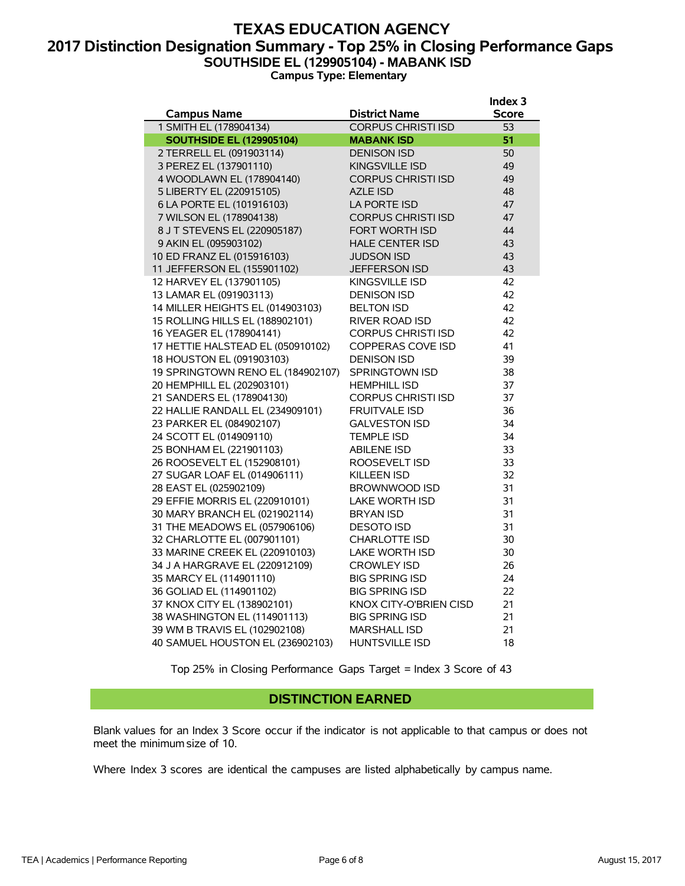### **TEXAS EDUCATION AGENCY 2017 Distinction Designation Summary - Top 25% in Closing Performance Gaps SOUTHSIDE EL (129905104) - MABANK ISD Campus Type: Elementary**

**Index 3**

|                                   |                           | uluex J      |
|-----------------------------------|---------------------------|--------------|
| <b>Campus Name</b>                | <b>District Name</b>      | <b>Score</b> |
| 1 SMITH EL (178904134)            | <b>CORPUS CHRISTI ISD</b> | 53           |
| <b>SOUTHSIDE EL (129905104)</b>   | <b>MABANK ISD</b>         | 51           |
| 2 TERRELL EL (091903114)          | <b>DENISON ISD</b>        | 50           |
| 3 PEREZ EL (137901110)            | <b>KINGSVILLE ISD</b>     | 49           |
| 4 WOODLAWN EL (178904140)         | <b>CORPUS CHRISTI ISD</b> | 49           |
| 5 LIBERTY EL (220915105)          | <b>AZLE ISD</b>           | 48           |
| 6 LA PORTE EL (101916103)         | LA PORTE ISD              | 47           |
| 7 WILSON EL (178904138)           | <b>CORPUS CHRISTI ISD</b> | 47           |
| 8 J T STEVENS EL (220905187)      | FORT WORTH ISD            | 44           |
| 9 AKIN EL (095903102)             | <b>HALE CENTER ISD</b>    | 43           |
| 10 ED FRANZ EL (015916103)        | <b>JUDSON ISD</b>         | 43           |
| 11 JEFFERSON EL (155901102)       | JEFFERSON ISD             | 43           |
| 12 HARVEY EL (137901105)          | KINGSVILLE ISD            | 42           |
| 13 LAMAR EL (091903113)           | <b>DENISON ISD</b>        | 42           |
| 14 MILLER HEIGHTS EL (014903103)  | <b>BELTON ISD</b>         | 42           |
| 15 ROLLING HILLS EL (188902101)   | <b>RIVER ROAD ISD</b>     | 42           |
| 16 YEAGER EL (178904141)          | <b>CORPUS CHRISTI ISD</b> | 42           |
| 17 HETTIE HALSTEAD EL (050910102) | <b>COPPERAS COVE ISD</b>  | 41           |
| 18 HOUSTON EL (091903103)         | <b>DENISON ISD</b>        | 39           |
| 19 SPRINGTOWN RENO EL (184902107) | SPRINGTOWN ISD            | 38           |
| 20 HEMPHILL EL (202903101)        | <b>HEMPHILL ISD</b>       | 37           |
| 21 SANDERS EL (178904130)         | <b>CORPUS CHRISTI ISD</b> | 37           |
| 22 HALLIE RANDALL EL (234909101)  | <b>FRUITVALE ISD</b>      | 36           |
| 23 PARKER EL (084902107)          | <b>GALVESTON ISD</b>      | 34           |
| 24 SCOTT EL (014909110)           | <b>TEMPLE ISD</b>         | 34           |
| 25 BONHAM EL (221901103)          | <b>ABILENE ISD</b>        | 33           |
| 26 ROOSEVELT EL (152908101)       | ROOSEVELT ISD             | 33           |
| 27 SUGAR LOAF EL (014906111)      | <b>KILLEEN ISD</b>        | 32           |
| 28 EAST EL (025902109)            | <b>BROWNWOOD ISD</b>      | 31           |
| 29 EFFIE MORRIS EL (220910101)    | <b>LAKE WORTH ISD</b>     | 31           |
| 30 MARY BRANCH EL (021902114)     | <b>BRYAN ISD</b>          | 31           |
| 31 THE MEADOWS EL (057906106)     | <b>DESOTO ISD</b>         | 31           |
| 32 CHARLOTTE EL (007901101)       | <b>CHARLOTTE ISD</b>      | 30           |
| 33 MARINE CREEK EL (220910103)    | <b>LAKE WORTH ISD</b>     | 30           |
| 34 J A HARGRAVE EL (220912109)    | <b>CROWLEY ISD</b>        | 26           |
| 35 MARCY EL (114901110)           | <b>BIG SPRING ISD</b>     | 24           |
| 36 GOLIAD EL (114901102)          | <b>BIG SPRING ISD</b>     | 22           |
| 37 KNOX CITY EL (138902101)       | KNOX CITY-O'BRIEN CISD    | 21           |
| 38 WASHINGTON EL (114901113)      | <b>BIG SPRING ISD</b>     | 21           |
| 39 WM B TRAVIS EL (102902108)     | <b>MARSHALL ISD</b>       | 21           |
| 40 SAMUEL HOUSTON EL (236902103)  | <b>HUNTSVILLE ISD</b>     | 18           |

Top 25% in Closing Performance Gaps Target = Index 3 Score of 43

#### **DISTINCTION EARNED**

Blank values for an Index 3 Score occur if the indicator is not applicable to that campus or does not meet the minimum size of 10.

Where Index 3 scores are identical the campuses are listed alphabetically by campus name.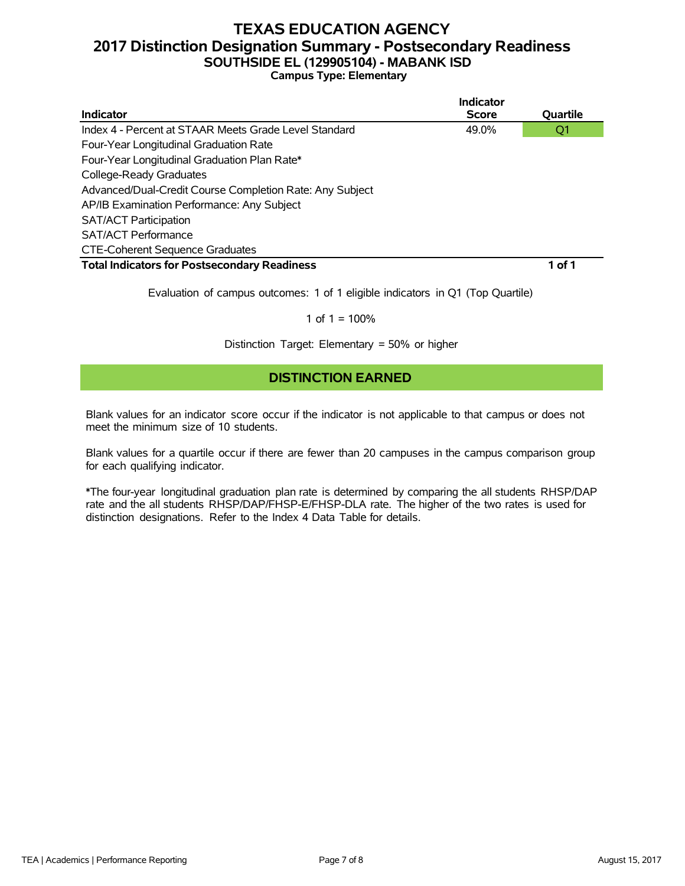# **TEXAS EDUCATION AGENCY 2017 Distinction Designation Summary - Postsecondary Readiness SOUTHSIDE EL (129905104) - MABANK ISD**

**Campus Type: Elementary**

|                                                          | Indicator    |          |
|----------------------------------------------------------|--------------|----------|
| Indicator                                                | <b>Score</b> | Quartile |
| Index 4 - Percent at STAAR Meets Grade Level Standard    | 49.0%        | Q1       |
| Four-Year Longitudinal Graduation Rate                   |              |          |
| Four-Year Longitudinal Graduation Plan Rate*             |              |          |
| College-Ready Graduates                                  |              |          |
| Advanced/Dual-Credit Course Completion Rate: Any Subject |              |          |
| AP/IB Examination Performance: Any Subject               |              |          |
| <b>SAT/ACT Participation</b>                             |              |          |
| <b>SAT/ACT Performance</b>                               |              |          |
| <b>CTE-Coherent Sequence Graduates</b>                   |              |          |
| <b>Total Indicators for Postsecondary Readiness</b>      |              | 1 of 1   |
|                                                          |              |          |

Evaluation of campus outcomes: 1 of 1 eligible indicators in Q1 (Top Quartile)

#### 1 of  $1 = 100%$

Distinction Target: Elementary = 50% or higher

### **DISTINCTION EARNED**

Blank values for an indicator score occur if the indicator is not applicable to that campus or does not meet the minimum size of 10 students.

Blank values for a quartile occur if there are fewer than 20 campuses in the campus comparison group for each qualifying indicator.

\*The four-year longitudinal graduation plan rate is determined by comparing the all students RHSP/DAP rate and the all students RHSP/DAP/FHSP-E/FHSP-DLA rate. The higher of the two rates is used for distinction designations. Refer to the Index 4 Data Table for details.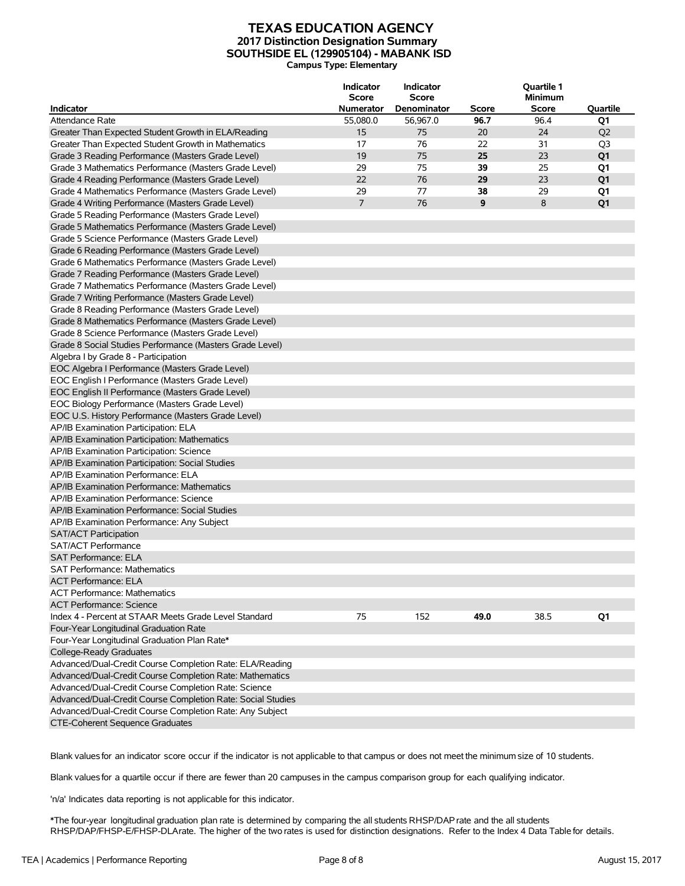#### **TEXAS EDUCATION AGENCY 2017 Distinction Designation Summary SOUTHSIDE EL (129905104) - MABANK ISD Campus Type: Elementary**

|                                                             | Indicator<br><b>Score</b> | <b>Indicator</b><br><b>Score</b> |       | Quartile 1<br><b>Minimum</b> |                |
|-------------------------------------------------------------|---------------------------|----------------------------------|-------|------------------------------|----------------|
| <b>Indicator</b>                                            | <b>Numerator</b>          | Denominator                      | Score | Score                        | Quartile       |
| <b>Attendance Rate</b>                                      | 55,080.0                  | 56,967.0                         | 96.7  | 96.4                         | Q1             |
| Greater Than Expected Student Growth in ELA/Reading         | 15                        | 75                               | 20    | 24                           | Q <sub>2</sub> |
| Greater Than Expected Student Growth in Mathematics         | 17                        | 76                               | 22    | 31                           | Q3             |
| Grade 3 Reading Performance (Masters Grade Level)           | 19                        | 75                               | 25    | 23                           | Q1             |
| Grade 3 Mathematics Performance (Masters Grade Level)       | 29                        | 75                               | 39    | 25                           | Q1             |
| Grade 4 Reading Performance (Masters Grade Level)           | 22                        | 76                               | 29    | 23                           | Q <sub>1</sub> |
| Grade 4 Mathematics Performance (Masters Grade Level)       | 29                        | 77                               | 38    | 29                           | Q1             |
| Grade 4 Writing Performance (Masters Grade Level)           | $\overline{7}$            | 76                               | 9     | 8                            | Q <sub>1</sub> |
| Grade 5 Reading Performance (Masters Grade Level)           |                           |                                  |       |                              |                |
| Grade 5 Mathematics Performance (Masters Grade Level)       |                           |                                  |       |                              |                |
| Grade 5 Science Performance (Masters Grade Level)           |                           |                                  |       |                              |                |
| Grade 6 Reading Performance (Masters Grade Level)           |                           |                                  |       |                              |                |
| Grade 6 Mathematics Performance (Masters Grade Level)       |                           |                                  |       |                              |                |
| Grade 7 Reading Performance (Masters Grade Level)           |                           |                                  |       |                              |                |
| Grade 7 Mathematics Performance (Masters Grade Level)       |                           |                                  |       |                              |                |
| Grade 7 Writing Performance (Masters Grade Level)           |                           |                                  |       |                              |                |
| Grade 8 Reading Performance (Masters Grade Level)           |                           |                                  |       |                              |                |
| Grade 8 Mathematics Performance (Masters Grade Level)       |                           |                                  |       |                              |                |
| Grade 8 Science Performance (Masters Grade Level)           |                           |                                  |       |                              |                |
| Grade 8 Social Studies Performance (Masters Grade Level)    |                           |                                  |       |                              |                |
| Algebra I by Grade 8 - Participation                        |                           |                                  |       |                              |                |
| EOC Algebra I Performance (Masters Grade Level)             |                           |                                  |       |                              |                |
| EOC English I Performance (Masters Grade Level)             |                           |                                  |       |                              |                |
| EOC English II Performance (Masters Grade Level)            |                           |                                  |       |                              |                |
| EOC Biology Performance (Masters Grade Level)               |                           |                                  |       |                              |                |
| EOC U.S. History Performance (Masters Grade Level)          |                           |                                  |       |                              |                |
| AP/IB Examination Participation: ELA                        |                           |                                  |       |                              |                |
| AP/IB Examination Participation: Mathematics                |                           |                                  |       |                              |                |
| AP/IB Examination Participation: Science                    |                           |                                  |       |                              |                |
| AP/IB Examination Participation: Social Studies             |                           |                                  |       |                              |                |
| AP/IB Examination Performance: ELA                          |                           |                                  |       |                              |                |
| AP/IB Examination Performance: Mathematics                  |                           |                                  |       |                              |                |
| AP/IB Examination Performance: Science                      |                           |                                  |       |                              |                |
| AP/IB Examination Performance: Social Studies               |                           |                                  |       |                              |                |
| AP/IB Examination Performance: Any Subject                  |                           |                                  |       |                              |                |
| <b>SAT/ACT Participation</b>                                |                           |                                  |       |                              |                |
| <b>SAT/ACT Performance</b>                                  |                           |                                  |       |                              |                |
| <b>SAT Performance: ELA</b>                                 |                           |                                  |       |                              |                |
| SAT Performance: Mathematics                                |                           |                                  |       |                              |                |
| <b>ACT Performance: ELA</b>                                 |                           |                                  |       |                              |                |
| <b>ACT Performance: Mathematics</b>                         |                           |                                  |       |                              |                |
| <b>ACT Performance: Science</b>                             |                           |                                  |       |                              |                |
| Index 4 - Percent at STAAR Meets Grade Level Standard       |                           |                                  |       |                              |                |
|                                                             | 75                        | 152                              | 49.0  | 38.5                         | Q1             |
| Four-Year Longitudinal Graduation Rate                      |                           |                                  |       |                              |                |
| Four-Year Longitudinal Graduation Plan Rate*                |                           |                                  |       |                              |                |
| College-Ready Graduates                                     |                           |                                  |       |                              |                |
| Advanced/Dual-Credit Course Completion Rate: ELA/Reading    |                           |                                  |       |                              |                |
| Advanced/Dual-Credit Course Completion Rate: Mathematics    |                           |                                  |       |                              |                |
| Advanced/Dual-Credit Course Completion Rate: Science        |                           |                                  |       |                              |                |
| Advanced/Dual-Credit Course Completion Rate: Social Studies |                           |                                  |       |                              |                |
| Advanced/Dual-Credit Course Completion Rate: Any Subject    |                           |                                  |       |                              |                |
| <b>CTE-Coherent Sequence Graduates</b>                      |                           |                                  |       |                              |                |

Blank valuesfor an indicator score occur if the indicator is not applicable to that campus or does not meet the minimum size of 10 students.

Blank valuesfor a quartile occur if there are fewer than 20 campuses in the campus comparison group for each qualifying indicator.

'n/a' Indicates data reporting is not applicable for this indicator.

\*The four-year longitudinal graduation plan rate is determined by comparing the all students RHSP/DAPrate and the all students RHSP/DAP/FHSP-E/FHSP-DLArate. The higher of the two rates is used for distinction designations. Refer to the Index 4 Data Table for details.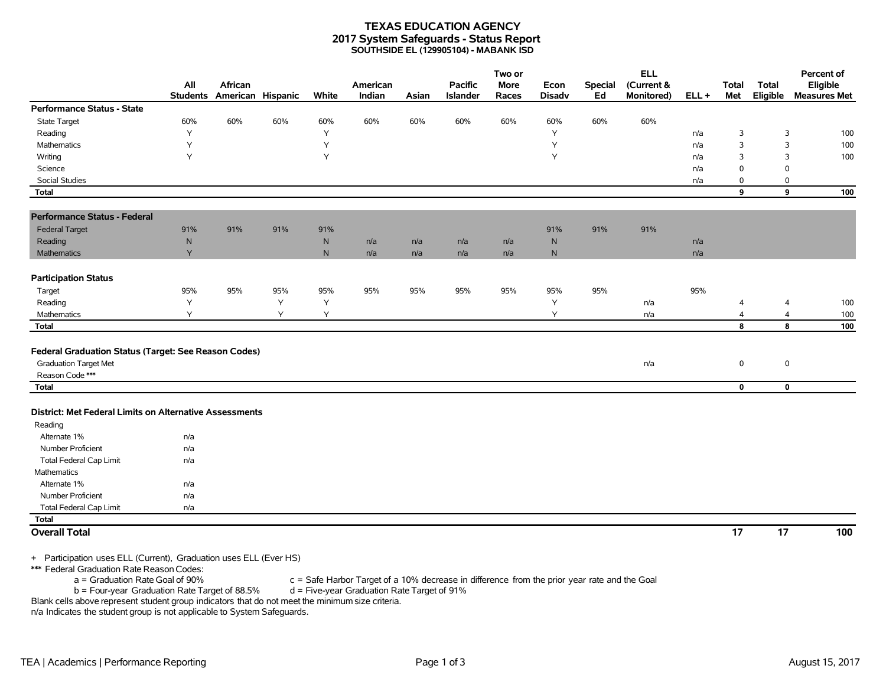#### **TEXAS EDUCATION AGENCY 2017 System Safeguards - Status Report SOUTHSIDE EL (129905104) - MABANK ISD**

|                                                                        | All       | African                    |     |           | American |       | <b>Pacific</b>  | Two or<br><b>More</b> | Econ          | <b>Special</b> | <b>ELL</b><br>(Current & |         | <b>Total</b>    | <b>Total</b>    | Percent of<br>Eligible |
|------------------------------------------------------------------------|-----------|----------------------------|-----|-----------|----------|-------|-----------------|-----------------------|---------------|----------------|--------------------------|---------|-----------------|-----------------|------------------------|
|                                                                        |           | Students American Hispanic |     | White     | Indian   | Asian | <b>Islander</b> | Races                 | <b>Disadv</b> | Ed             | Monitored)               | $ELL +$ | Met             | Eligible        | <b>Measures Met</b>    |
| <b>Performance Status - State</b>                                      |           |                            |     |           |          |       |                 |                       |               |                |                          |         |                 |                 |                        |
| <b>State Target</b>                                                    | 60%       | 60%                        | 60% | 60%       | 60%      | 60%   | 60%             | 60%                   | 60%           | 60%            | 60%                      |         |                 |                 |                        |
| Reading                                                                | Υ         |                            |     | Υ         |          |       |                 |                       | Υ             |                |                          | n/a     | 3               | 3               | 100                    |
| Mathematics                                                            | Υ         |                            |     | Y         |          |       |                 |                       | Y             |                |                          | n/a     | 3               | 3               | 100                    |
| Writing                                                                | Y         |                            |     | Y         |          |       |                 |                       | Y             |                |                          | n/a     | 3               | 3               | 100                    |
| Science                                                                |           |                            |     |           |          |       |                 |                       |               |                |                          | n/a     | 0               | $\mathbf 0$     |                        |
| <b>Social Studies</b>                                                  |           |                            |     |           |          |       |                 |                       |               |                |                          | n/a     | 0               | 0               |                        |
| <b>Total</b>                                                           |           |                            |     |           |          |       |                 |                       |               |                |                          |         | 9               | 9               | 100                    |
| <b>Performance Status - Federal</b>                                    |           |                            |     |           |          |       |                 |                       |               |                |                          |         |                 |                 |                        |
| <b>Federal Target</b>                                                  | 91%       | 91%                        | 91% | 91%       |          |       |                 |                       | 91%           | 91%            | 91%                      |         |                 |                 |                        |
| Reading                                                                | ${\sf N}$ |                            |     | ${\sf N}$ | n/a      | n/a   | n/a             | n/a                   | ${\sf N}$     |                |                          | n/a     |                 |                 |                        |
| <b>Mathematics</b>                                                     | Y         |                            |     | N         | n/a      | n/a   | n/a             | n/a                   | $\mathsf{N}$  |                |                          | n/a     |                 |                 |                        |
| <b>Participation Status</b>                                            |           |                            |     |           |          |       |                 |                       |               |                |                          |         |                 |                 |                        |
| Target                                                                 | 95%       | 95%                        | 95% | 95%       | 95%      | 95%   | 95%             | 95%                   | 95%           | 95%            |                          | 95%     |                 |                 |                        |
| Reading                                                                | Υ         |                            | Y   | Y         |          |       |                 |                       | Υ             |                | n/a                      |         | 4               | $\overline{4}$  | 100                    |
| Mathematics                                                            | Υ         |                            | Y   | Υ         |          |       |                 |                       | Υ             |                | n/a                      |         | 4               | $\overline{4}$  | 100                    |
| <b>Total</b>                                                           |           |                            |     |           |          |       |                 |                       |               |                |                          |         | 8               | 8               | 100                    |
|                                                                        |           |                            |     |           |          |       |                 |                       |               |                |                          |         |                 |                 |                        |
| Federal Graduation Status (Target: See Reason Codes)                   |           |                            |     |           |          |       |                 |                       |               |                |                          |         |                 |                 |                        |
| <b>Graduation Target Met</b>                                           |           |                            |     |           |          |       |                 |                       |               |                | n/a                      |         | 0               | $\pmb{0}$       |                        |
| Reason Code ***                                                        |           |                            |     |           |          |       |                 |                       |               |                |                          |         |                 |                 |                        |
| <b>Total</b>                                                           |           |                            |     |           |          |       |                 |                       |               |                |                          |         | $\mathbf 0$     | $\mathbf 0$     |                        |
| District: Met Federal Limits on Alternative Assessments                |           |                            |     |           |          |       |                 |                       |               |                |                          |         |                 |                 |                        |
| Reading                                                                |           |                            |     |           |          |       |                 |                       |               |                |                          |         |                 |                 |                        |
| Alternate 1%                                                           | n/a       |                            |     |           |          |       |                 |                       |               |                |                          |         |                 |                 |                        |
| Number Proficient                                                      | n/a       |                            |     |           |          |       |                 |                       |               |                |                          |         |                 |                 |                        |
| <b>Total Federal Cap Limit</b>                                         | n/a       |                            |     |           |          |       |                 |                       |               |                |                          |         |                 |                 |                        |
| <b>Mathematics</b>                                                     |           |                            |     |           |          |       |                 |                       |               |                |                          |         |                 |                 |                        |
| Alternate 1%                                                           | n/a       |                            |     |           |          |       |                 |                       |               |                |                          |         |                 |                 |                        |
| Number Proficient                                                      | n/a       |                            |     |           |          |       |                 |                       |               |                |                          |         |                 |                 |                        |
| <b>Total Federal Cap Limit</b>                                         | n/a       |                            |     |           |          |       |                 |                       |               |                |                          |         |                 |                 |                        |
| <b>Total</b>                                                           |           |                            |     |           |          |       |                 |                       |               |                |                          |         |                 |                 |                        |
| <b>Overall Total</b>                                                   |           |                            |     |           |          |       |                 |                       |               |                |                          |         | $\overline{17}$ | $\overline{17}$ | 100                    |
| $\pm$ Darticipation uses ELL (Current). Craduation uses ELL (Ever HC). |           |                            |     |           |          |       |                 |                       |               |                |                          |         |                 |                 |                        |

+ Participation uses ELL (Current), Graduation uses ELL (Ever HS)

\*\*\* Federal Graduation Rate Reason Codes:

a = Graduation Rate Goal of 90% c = Safe Harbor Target of a 10% decrease in difference from the prior year rate and the Goal

b = Four-year Graduation Rate Target of 88.5% d = Five-year Graduation Rate Target of 91%

Blank cells above represent student group indicators that do not meet the minimum size criteria. n/a Indicates the student group is not applicable to System Safeguards.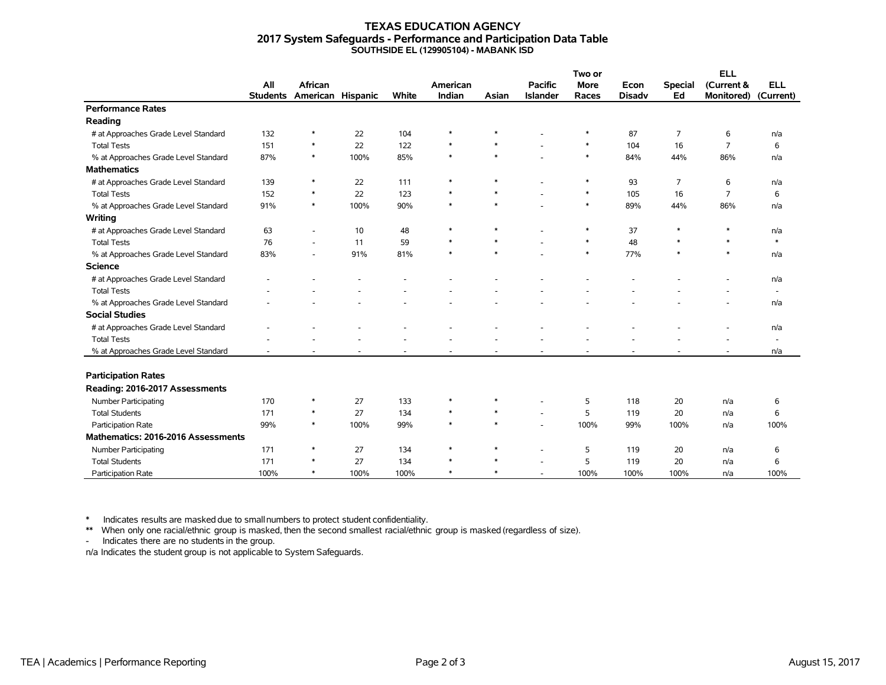#### **TEXAS EDUCATION AGENCY 2017 System Safeguards - Performance and Participation Data Table SOUTHSIDE EL (129905104) - MABANK ISD**

|                                      |                 |                   |      |       |          | Two or |                          |             | <b>ELL</b>    |                |                   |                          |
|--------------------------------------|-----------------|-------------------|------|-------|----------|--------|--------------------------|-------------|---------------|----------------|-------------------|--------------------------|
|                                      | All             | African           |      |       | American |        | <b>Pacific</b>           | <b>More</b> | Econ          | <b>Special</b> | (Current &        | <b>ELL</b>               |
|                                      | <b>Students</b> | American Hispanic |      | White | Indian   | Asian  | <b>Islander</b>          | Races       | <b>Disadv</b> | Ed             | <b>Monitored)</b> | (Current)                |
| <b>Performance Rates</b>             |                 |                   |      |       |          |        |                          |             |               |                |                   |                          |
| Reading                              |                 |                   |      |       |          |        |                          |             |               |                |                   |                          |
| # at Approaches Grade Level Standard | 132             | $\ast$            | 22   | 104   | $\ast$   | $\ast$ |                          | $\ast$      | 87            | 7              | 6                 | n/a                      |
| <b>Total Tests</b>                   | 151             | $\ast$            | 22   | 122   | $\ast$   | $\ast$ |                          | $\ast$      | 104           | 16             | $\overline{7}$    | 6                        |
| % at Approaches Grade Level Standard | 87%             | $\ast$            | 100% | 85%   | $\ast$   | $\ast$ |                          | $\ast$      | 84%           | 44%            | 86%               | n/a                      |
| <b>Mathematics</b>                   |                 |                   |      |       |          |        |                          |             |               |                |                   |                          |
| # at Approaches Grade Level Standard | 139             | $\ast$            | 22   | 111   | $\ast$   | $\ast$ |                          | $\ast$      | 93            | $\overline{7}$ | 6                 | n/a                      |
| <b>Total Tests</b>                   | 152             | $\ast$            | 22   | 123   | $\ast$   | $\ast$ |                          | $\ast$      | 105           | 16             | $\overline{7}$    | 6                        |
| % at Approaches Grade Level Standard | 91%             | $\ast$            | 100% | 90%   | $\ast$   | $\ast$ |                          | $\ast$      | 89%           | 44%            | 86%               | n/a                      |
| Writing                              |                 |                   |      |       |          |        |                          |             |               |                |                   |                          |
| # at Approaches Grade Level Standard | 63              |                   | 10   | 48    | $\ast$   | $\ast$ |                          | $\ast$      | 37            | $\ast$         | $\ast$            | n/a                      |
| <b>Total Tests</b>                   | 76              |                   | 11   | 59    | $\ast$   | $\ast$ |                          | $\ast$      | 48            | $\ast$         | $\ast$            | $\ast$                   |
| % at Approaches Grade Level Standard | 83%             |                   | 91%  | 81%   | $\ast$   | $\ast$ |                          | $\ast$      | 77%           | $\ast$         | $\ast$            | n/a                      |
| <b>Science</b>                       |                 |                   |      |       |          |        |                          |             |               |                |                   |                          |
| # at Approaches Grade Level Standard |                 |                   |      |       |          |        |                          |             |               |                |                   | n/a                      |
| <b>Total Tests</b>                   |                 |                   |      |       |          |        |                          |             |               |                |                   | $\sim$                   |
| % at Approaches Grade Level Standard |                 |                   |      |       |          |        |                          |             |               |                |                   | n/a                      |
| <b>Social Studies</b>                |                 |                   |      |       |          |        |                          |             |               |                |                   |                          |
| # at Approaches Grade Level Standard |                 |                   |      |       |          |        |                          |             |               |                |                   | n/a                      |
| <b>Total Tests</b>                   |                 |                   |      |       |          |        |                          |             |               |                |                   | $\overline{\phantom{a}}$ |
| % at Approaches Grade Level Standard |                 |                   |      |       |          |        |                          |             |               |                |                   | n/a                      |
|                                      |                 |                   |      |       |          |        |                          |             |               |                |                   |                          |
| <b>Participation Rates</b>           |                 |                   |      |       |          |        |                          |             |               |                |                   |                          |
| Reading: 2016-2017 Assessments       |                 |                   |      |       |          |        |                          |             |               |                |                   |                          |
| Number Participating                 | 170             | $\ast$            | 27   | 133   | $\ast$   | $\ast$ |                          | 5           | 118           | 20             | n/a               | 6                        |
| <b>Total Students</b>                | 171             | $\ast$            | 27   | 134   | $\ast$   | $\ast$ | ÷                        | 5           | 119           | 20             | n/a               | 6                        |
| Participation Rate                   | 99%             | $\ast$            | 100% | 99%   | $\ast$   | $\ast$ |                          | 100%        | 99%           | 100%           | n/a               | 100%                     |
| Mathematics: 2016-2016 Assessments   |                 |                   |      |       |          |        |                          |             |               |                |                   |                          |
| Number Participating                 | 171             | $\ast$            | 27   | 134   | $\ast$   | $\ast$ |                          | 5           | 119           | 20             | n/a               | 6                        |
| <b>Total Students</b>                | 171             | $\ast$            | 27   | 134   | $\ast$   | $\ast$ |                          | 5           | 119           | 20             | n/a               | 6                        |
| Participation Rate                   | 100%            | $\ast$            | 100% | 100%  | $\ast$   | $\ast$ | $\overline{\phantom{a}}$ | 100%        | 100%          | 100%           | n/a               | 100%                     |

\* Indicates results are masked due to smallnumbers to protect student confidentiality.

\*\* When only one racial/ethnic group is masked, then the second smallest racial/ethnic group is masked (regardless of size).

- Indicates there are no students in the group.

n/a Indicates the student group is not applicable to System Safeguards.